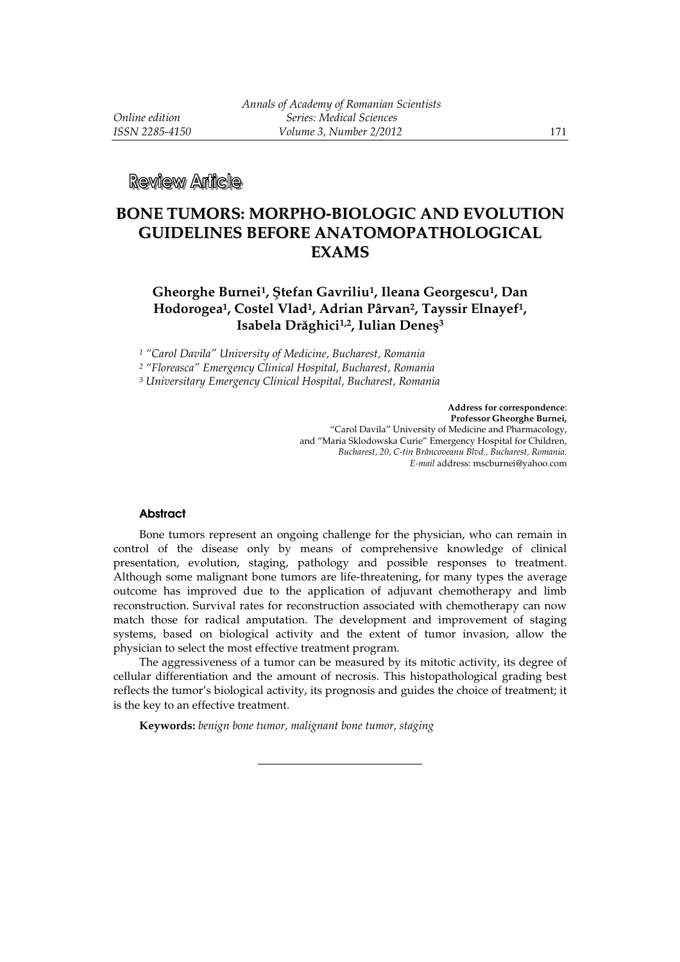# **BONE TUMORS: MORPHO-BIOLOGIC AND EVOLUTION GUIDELINES BEFORE ANATOMOPATHOLOGICAL EXAMS**

## **Gheorghe Burnei<sup>1</sup>, Ştefan Gavriliu<sup>1</sup>, Ileana Georgescu<sup>1</sup>, Dan Hodorogea<sup>1</sup>, Costel Vlad<sup>1</sup>, Adrian Pârvan<sup>2</sup>, Tayssir Elnayef<sup>1</sup>, Isabela Drăghici1,2, Iulian Deneş 3**

*1 "Carol Davila" University of Medicine, Bucharest, Romania* 

*2 "Floreasca" Emergency Clinical Hospital, Bucharest, Romania* 

*3 Universitary Emergency Clinical Hospital, Bucharest, Romania* 

**Address for correspondence**: **Professor Gheorghe Burnei,**  "Carol Davila" University of Medicine and Pharmacology, and "Maria Sklodowska Curie" Emergency Hospital for Children, *Bucharest, 20, C-tin Brâncoveanu Blvd., Bucharest, Romania. E-mail* address: mscburnei@yahoo.com

#### **Abstract**

Bone tumors represent an ongoing challenge for the physician, who can remain in control of the disease only by means of comprehensive knowledge of clinical presentation, evolution, staging, pathology and possible responses to treatment. Although some malignant bone tumors are life-threatening, for many types the average outcome has improved due to the application of adjuvant chemotherapy and limb reconstruction. Survival rates for reconstruction associated with chemotherapy can now match those for radical amputation. The development and improvement of staging systems, based on biological activity and the extent of tumor invasion, allow the physician to select the most effective treatment program.

The aggressiveness of a tumor can be measured by its mitotic activity, its degree of cellular differentiation and the amount of necrosis. This histopathological grading best reflects the tumor's biological activity, its prognosis and guides the choice of treatment; it is the key to an effective treatment.

**Keywords:** *benign bone tumor, malignant bone tumor, staging* 

l